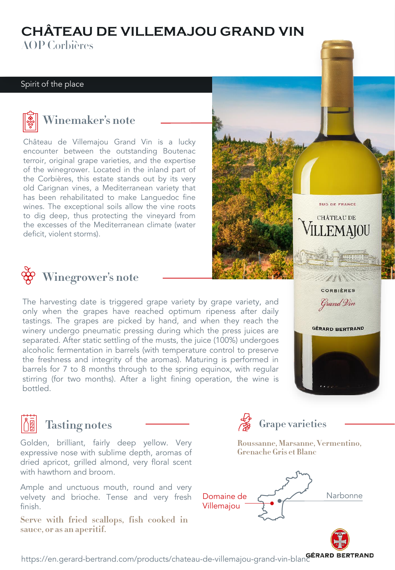## **CHÂTEAU DE VILLEMAJOU GRAND VIN**

**AOP** Corbières AOP Corbières

#### Spirit of the place



#### **Winemaker's note**

Château de Villemajou Grand Vin is a lucky encounter between the outstanding Boutenac terroir, original grape varieties, and the expertise of the winegrower. Located in the inland part of the Corbières, this estate stands out by its very old Carignan vines, a Mediterranean variety that has been rehabilitated to make Languedoc fine wines. The exceptional soils allow the vine roots to dig deep, thus protecting the vineyard from the excesses of the Mediterranean climate (water deficit, violent storms).



#### **Winegrower's note**

The harvesting date is triggered grape variety by grape variety, and only when the grapes have reached optimum ripeness after daily tastings. The grapes are picked by hand, and when they reach the winery undergo pneumatic pressing during which the press juices are separated. After static settling of the musts, the juice (100%) undergoes alcoholic fermentation in barrels (with temperature control to preserve the freshness and integrity of the aromas). Maturing is performed in barrels for 7 to 8 months through to the spring equinox, with regular stirring (for two months). After a light fining operation, the wine is bottled.



SUD DE FRANCE **CHÂTEAU DE** 

LEMAIOU

# **Tasting notes**

Golden, brilliant, fairly deep yellow. Very expressive nose with sublime depth, aromas of dried apricot, grilled almond, very floral scent with hawthorn and broom.

Ample and unctuous mouth, round and very velvety and brioche. Tense and very fresh finish.

**sauce, or as an aperitif. sauce, or as an aperitif.**



[https://en.gerard-bertrand.com/products/chateau-de-villemajou-grand-vin-blanc](https://www.gerard-bertrand.com/les-vins/art-de-vivre-languedoc)